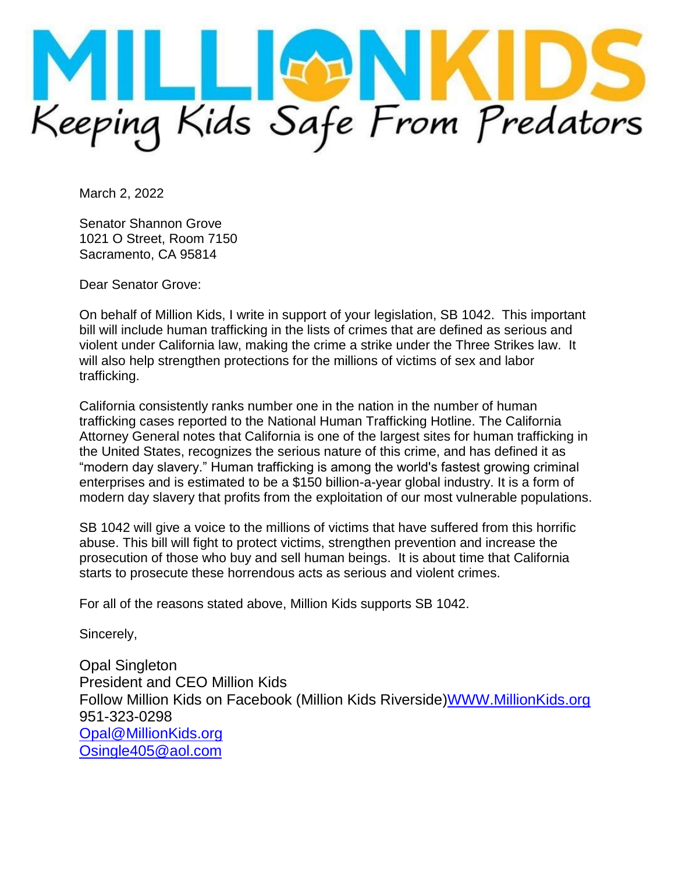

March 2, 2022

Senator Shannon Grove 1021 O Street, Room 7150 Sacramento, CA 95814

Dear Senator Grove:

On behalf of Million Kids, I write in support of your legislation, SB 1042. This important bill will include human trafficking in the lists of crimes that are defined as serious and violent under California law, making the crime a strike under the Three Strikes law. It will also help strengthen protections for the millions of victims of sex and labor trafficking.

California consistently ranks number one in the nation in the number of human trafficking cases reported to the National Human Trafficking Hotline. The California Attorney General notes that California is one of the largest sites for human trafficking in the United States, recognizes the serious nature of this crime, and has defined it as "modern day slavery." Human trafficking is among the world's fastest growing criminal enterprises and is estimated to be a \$150 billion-a-year global industry. It is a form of modern day slavery that profits from the exploitation of our most vulnerable populations.

SB 1042 will give a voice to the millions of victims that have suffered from this horrific abuse. This bill will fight to protect victims, strengthen prevention and increase the prosecution of those who buy and sell human beings. It is about time that California starts to prosecute these horrendous acts as serious and violent crimes.

For all of the reasons stated above, Million Kids supports SB 1042.

Sincerely,

Opal Singleton President and CEO Million Kids Follow Million Kids on Facebook (Million Kids Riverside[\)WWW.MillionKids.org](http://www.milionkids.org/) 951-323-0298 [Opal@MillionKids.org](mailto:Opal@MillionKids.org) [Osingle405@aol.com](mailto:Osingle405@aol.com)